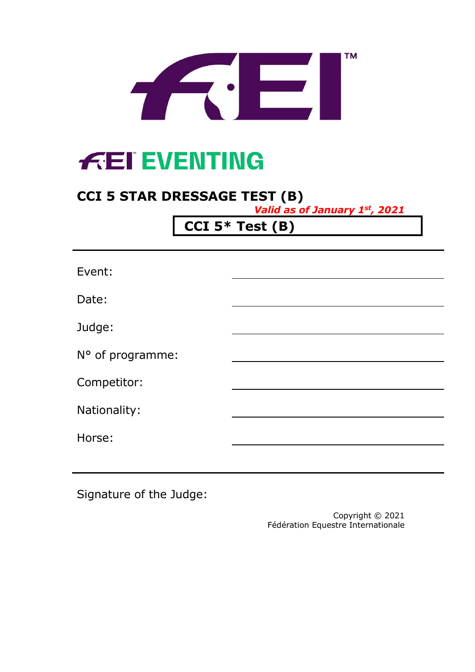

# **FEI EVENTING**

## **CCI 5 STAR DRESSAGE TEST (B)**

*Valid as of January 1st, 2021*

**CCI 5\* Test (B)**

| Event:           |  |
|------------------|--|
| Date:            |  |
| Judge:           |  |
| N° of programme: |  |
| Competitor:      |  |
| Nationality:     |  |
| Horse:           |  |
|                  |  |

Signature of the Judge:

Copyright © 2021 Fédération Equestre Internationale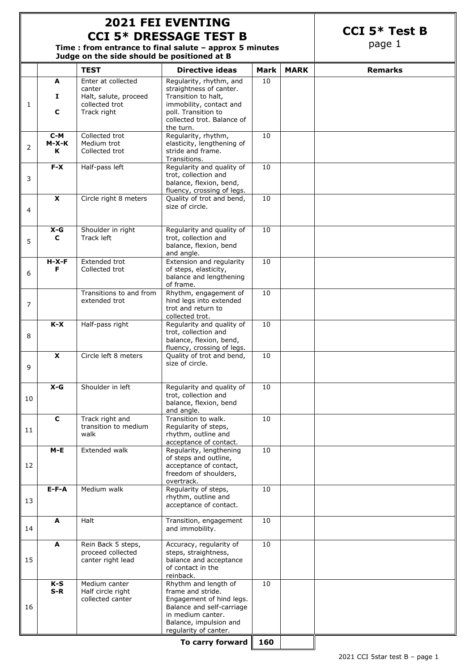### **2021 FEI EVENTING CCI 5\* DRESSAGE TEST B**

**CCI 5\* Test B**

page 1

**Time : from entrance to final salute – approx 5 minutes Judge on the side should be positioned at B**

|    |                | <b>TEST</b>                             | <b>Directive ideas</b>                                | <b>Mark</b> | <b>MARK</b> | <b>Remarks</b> |
|----|----------------|-----------------------------------------|-------------------------------------------------------|-------------|-------------|----------------|
|    | A              | Enter at collected                      | Regularity, rhythm, and                               | 10          |             |                |
|    | Ι.             | canter<br>Halt, salute, proceed         | straightness of canter.<br>Transition to halt,        |             |             |                |
| 1  |                | collected trot                          | immobility, contact and                               |             |             |                |
|    | C              | Track right                             | poll. Transition to<br>collected trot. Balance of     |             |             |                |
|    |                |                                         | the turn.                                             |             |             |                |
|    | $C-M$          | Collected trot                          | Regularity, rhythm,                                   | 10          |             |                |
| 2  | M-X-K<br>K     | Medium trot<br>Collected trot           | elasticity, lengthening of<br>stride and frame.       |             |             |                |
|    |                |                                         | Transitions.                                          |             |             |                |
|    | $F-X$          | Half-pass left                          | Regularity and quality of                             | 10          |             |                |
| 3  |                |                                         | trot, collection and<br>balance, flexion, bend,       |             |             |                |
|    |                |                                         | fluency, crossing of legs.                            |             |             |                |
|    | $\pmb{\chi}$   | Circle right 8 meters                   | Quality of trot and bend,<br>size of circle.          | 10          |             |                |
| 4  |                |                                         |                                                       |             |             |                |
|    |                |                                         |                                                       |             |             |                |
|    | $X-G$<br>C     | Shoulder in right<br>Track left         | Regularity and quality of<br>trot, collection and     | 10          |             |                |
| 5  |                |                                         | balance, flexion, bend                                |             |             |                |
|    | $H-X-F$        | Extended trot                           | and angle.<br>Extension and regularity                | 10          |             |                |
|    | F              | Collected trot                          | of steps, elasticity,                                 |             |             |                |
| 6  |                |                                         | balance and lengthening                               |             |             |                |
|    |                | Transitions to and from                 | of frame.<br>Rhythm, engagement of                    | 10          |             |                |
| 7  |                | extended trot                           | hind legs into extended                               |             |             |                |
|    |                |                                         | trot and return to                                    |             |             |                |
|    | $K-X$          | Half-pass right                         | collected trot.<br>Regularity and quality of          | 10          |             |                |
| 8  |                |                                         | trot, collection and                                  |             |             |                |
|    |                |                                         | balance, flexion, bend,<br>fluency, crossing of legs. |             |             |                |
|    | $\pmb{\chi}$   | Circle left 8 meters                    | Quality of trot and bend,                             | 10          |             |                |
| 9  |                |                                         | size of circle.                                       |             |             |                |
|    |                |                                         |                                                       |             |             |                |
|    | $X-G$          | Shoulder in left                        | Regularity and quality of                             | 10          |             |                |
| 10 |                |                                         | trot, collection and<br>balance, flexion, bend        |             |             |                |
|    |                |                                         | and angle.                                            |             |             |                |
|    | C              | Track right and<br>transition to medium | Transition to walk.<br>Regularity of steps,           | $10\,$      |             |                |
| 11 |                | walk                                    | rhythm, outline and                                   |             |             |                |
|    |                |                                         | acceptance of contact.                                |             |             |                |
|    | $M-E$          | Extended walk                           | Regularity, lengthening<br>of steps and outline,      | 10          |             |                |
| 12 |                |                                         | acceptance of contact,                                |             |             |                |
|    |                |                                         | freedom of shoulders,<br>overtrack.                   |             |             |                |
|    | $E-F-A$        | Medium walk                             | Regularity of steps,                                  | 10          |             |                |
| 13 |                |                                         | rhythm, outline and                                   |             |             |                |
|    |                |                                         | acceptance of contact.                                |             |             |                |
|    | A              | Halt                                    | Transition, engagement                                | 10          |             |                |
| 14 |                |                                         | and immobility.                                       |             |             |                |
|    | A              | Rein Back 5 steps,                      | Accuracy, regularity of                               | 10          |             |                |
|    |                | proceed collected                       | steps, straightness,                                  |             |             |                |
| 15 |                | canter right lead                       | balance and acceptance<br>of contact in the           |             |             |                |
|    |                |                                         | reinback.                                             |             |             |                |
|    | $K-S$<br>$S-R$ | Medium canter<br>Half circle right      | Rhythm and length of<br>frame and stride.             | 10          |             |                |
|    |                | collected canter                        | Engagement of hind legs.                              |             |             |                |
| 16 |                |                                         | Balance and self-carriage<br>in medium canter.        |             |             |                |
|    |                |                                         | Balance, impulsion and                                |             |             |                |
|    |                |                                         | regularity of canter.                                 |             |             |                |
|    |                |                                         |                                                       |             |             |                |

**To carry forward 160**